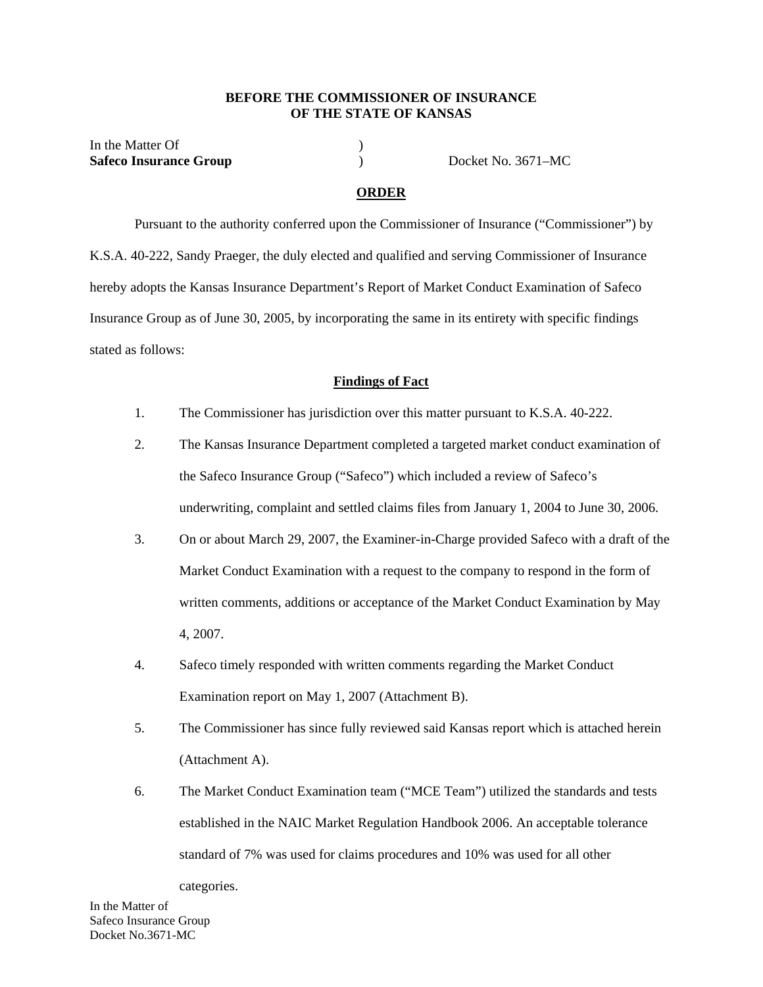#### **BEFORE THE COMMISSIONER OF INSURANCE OF THE STATE OF KANSAS**

In the Matter Of  $\qquad \qquad$  ) **Safeco Insurance Group** ) Docket No. 3671–MC

### **ORDER**

 Pursuant to the authority conferred upon the Commissioner of Insurance ("Commissioner") by K.S.A. 40-222, Sandy Praeger, the duly elected and qualified and serving Commissioner of Insurance hereby adopts the Kansas Insurance Department's Report of Market Conduct Examination of Safeco Insurance Group as of June 30, 2005, by incorporating the same in its entirety with specific findings stated as follows:

#### **Findings of Fact**

- 1. The Commissioner has jurisdiction over this matter pursuant to K.S.A. 40-222.
- 2. The Kansas Insurance Department completed a targeted market conduct examination of the Safeco Insurance Group ("Safeco") which included a review of Safeco's underwriting, complaint and settled claims files from January 1, 2004 to June 30, 2006.
- 3. On or about March 29, 2007, the Examiner-in-Charge provided Safeco with a draft of the Market Conduct Examination with a request to the company to respond in the form of written comments, additions or acceptance of the Market Conduct Examination by May 4, 2007.
- 4. Safeco timely responded with written comments regarding the Market Conduct Examination report on May 1, 2007 (Attachment B).
- 5. The Commissioner has since fully reviewed said Kansas report which is attached herein (Attachment A).
- 6. The Market Conduct Examination team ("MCE Team") utilized the standards and tests established in the NAIC Market Regulation Handbook 2006. An acceptable tolerance standard of 7% was used for claims procedures and 10% was used for all other

categories.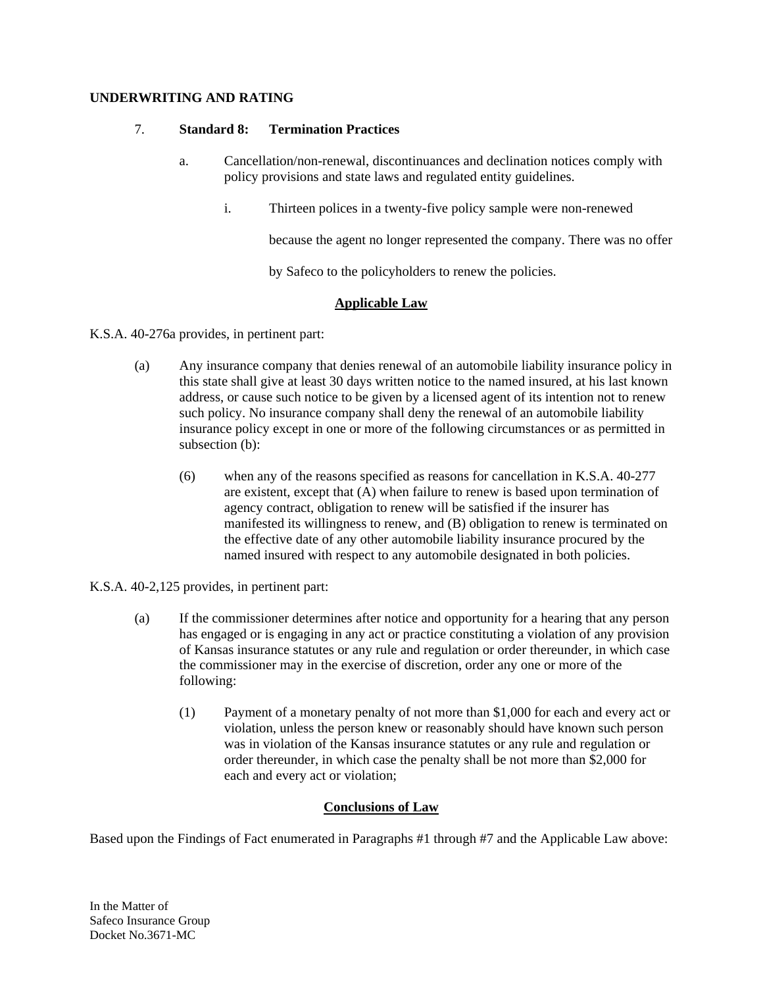# **UNDERWRITING AND RATING**

## 7. **Standard 8: Termination Practices**

- a. Cancellation/non-renewal, discontinuances and declination notices comply with policy provisions and state laws and regulated entity guidelines.
	- i. Thirteen polices in a twenty-five policy sample were non-renewed

because the agent no longer represented the company. There was no offer

by Safeco to the policyholders to renew the policies.

# **Applicable Law**

K.S.A. 40-276a provides, in pertinent part:

- (a) Any insurance company that denies renewal of an automobile liability insurance policy in this state shall give at least 30 days written notice to the named insured, at his last known address, or cause such notice to be given by a licensed agent of its intention not to renew such policy. No insurance company shall deny the renewal of an automobile liability insurance policy except in one or more of the following circumstances or as permitted in subsection (b):
	- (6) when any of the reasons specified as reasons for cancellation in K.S.A. 40-277 are existent, except that (A) when failure to renew is based upon termination of agency contract, obligation to renew will be satisfied if the insurer has manifested its willingness to renew, and (B) obligation to renew is terminated on the effective date of any other automobile liability insurance procured by the named insured with respect to any automobile designated in both policies.

K.S.A. 40-2,125 provides, in pertinent part:

- (a) If the commissioner determines after notice and opportunity for a hearing that any person has engaged or is engaging in any act or practice constituting a violation of any provision of Kansas insurance statutes or any rule and regulation or order thereunder, in which case the commissioner may in the exercise of discretion, order any one or more of the following:
	- (1) Payment of a monetary penalty of not more than \$1,000 for each and every act or violation, unless the person knew or reasonably should have known such person was in violation of the Kansas insurance statutes or any rule and regulation or order thereunder, in which case the penalty shall be not more than \$2,000 for each and every act or violation;

# **Conclusions of Law**

Based upon the Findings of Fact enumerated in Paragraphs #1 through #7 and the Applicable Law above: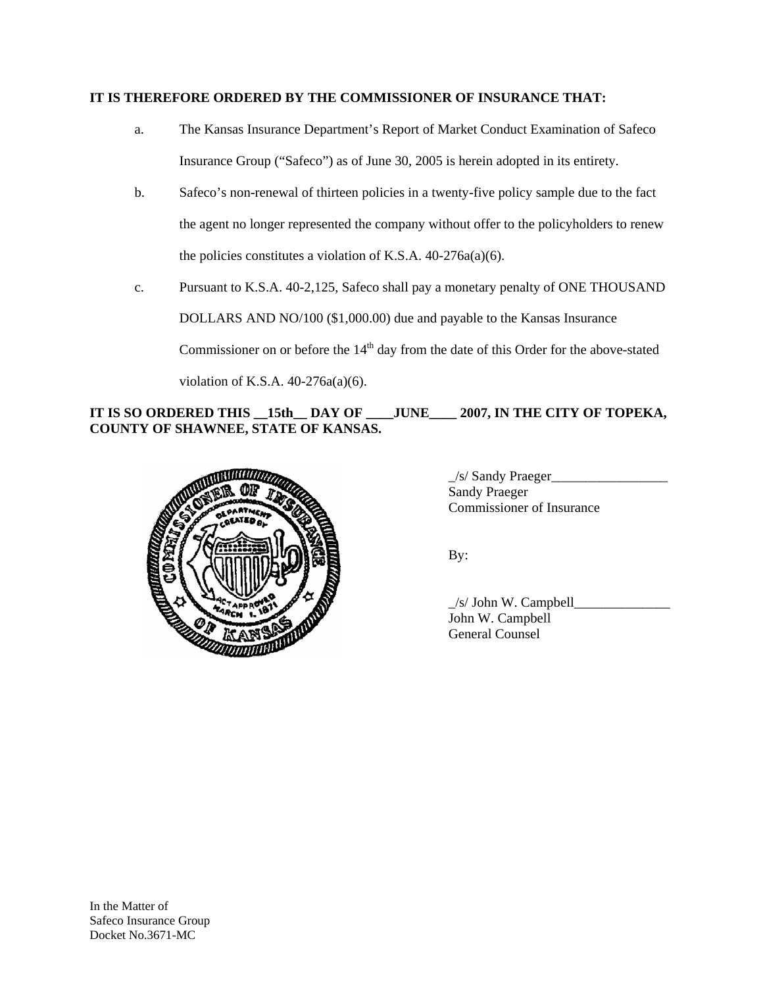### **IT IS THEREFORE ORDERED BY THE COMMISSIONER OF INSURANCE THAT:**

- a. The Kansas Insurance Department's Report of Market Conduct Examination of Safeco Insurance Group ("Safeco") as of June 30, 2005 is herein adopted in its entirety.
- b. Safeco's non-renewal of thirteen policies in a twenty-five policy sample due to the fact the agent no longer represented the company without offer to the policyholders to renew the policies constitutes a violation of K.S.A. 40-276a(a)(6).
- c. Pursuant to K.S.A. 40-2,125, Safeco shall pay a monetary penalty of ONE THOUSAND DOLLARS AND NO/100 (\$1,000.00) due and payable to the Kansas Insurance Commissioner on or before the  $14<sup>th</sup>$  day from the date of this Order for the above-stated violation of K.S.A. 40-276a(a)(6).

IT IS SO ORDERED THIS 15th DAY OF JUNE 2007, IN THE CITY OF TOPEKA, **COUNTY OF SHAWNEE, STATE OF KANSAS.** 



\_/s/ Sandy Praeger\_\_\_\_\_\_\_\_\_\_\_\_\_\_\_\_\_ Sandy Praeger Commissioner of Insurance

By:

\_/s/ John W. Campbell\_\_\_\_\_\_\_\_\_\_\_\_\_\_ John W. Campbell General Counsel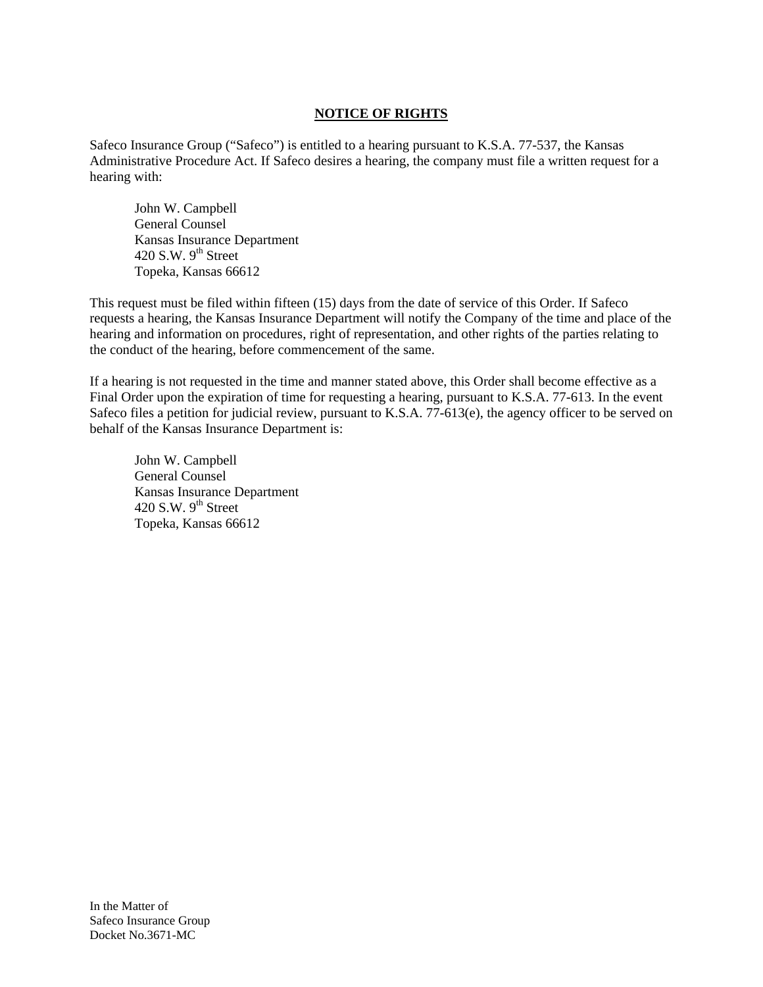# **NOTICE OF RIGHTS**

Safeco Insurance Group ("Safeco") is entitled to a hearing pursuant to K.S.A. 77-537, the Kansas Administrative Procedure Act. If Safeco desires a hearing, the company must file a written request for a hearing with:

 John W. Campbell General Counsel Kansas Insurance Department 420 S.W.  $9<sup>th</sup>$  Street Topeka, Kansas 66612

This request must be filed within fifteen (15) days from the date of service of this Order. If Safeco requests a hearing, the Kansas Insurance Department will notify the Company of the time and place of the hearing and information on procedures, right of representation, and other rights of the parties relating to the conduct of the hearing, before commencement of the same.

If a hearing is not requested in the time and manner stated above, this Order shall become effective as a Final Order upon the expiration of time for requesting a hearing, pursuant to K.S.A. 77-613. In the event Safeco files a petition for judicial review, pursuant to K.S.A. 77-613(e), the agency officer to be served on behalf of the Kansas Insurance Department is:

 John W. Campbell General Counsel Kansas Insurance Department 420 S.W.  $9<sup>th</sup>$  Street Topeka, Kansas 66612